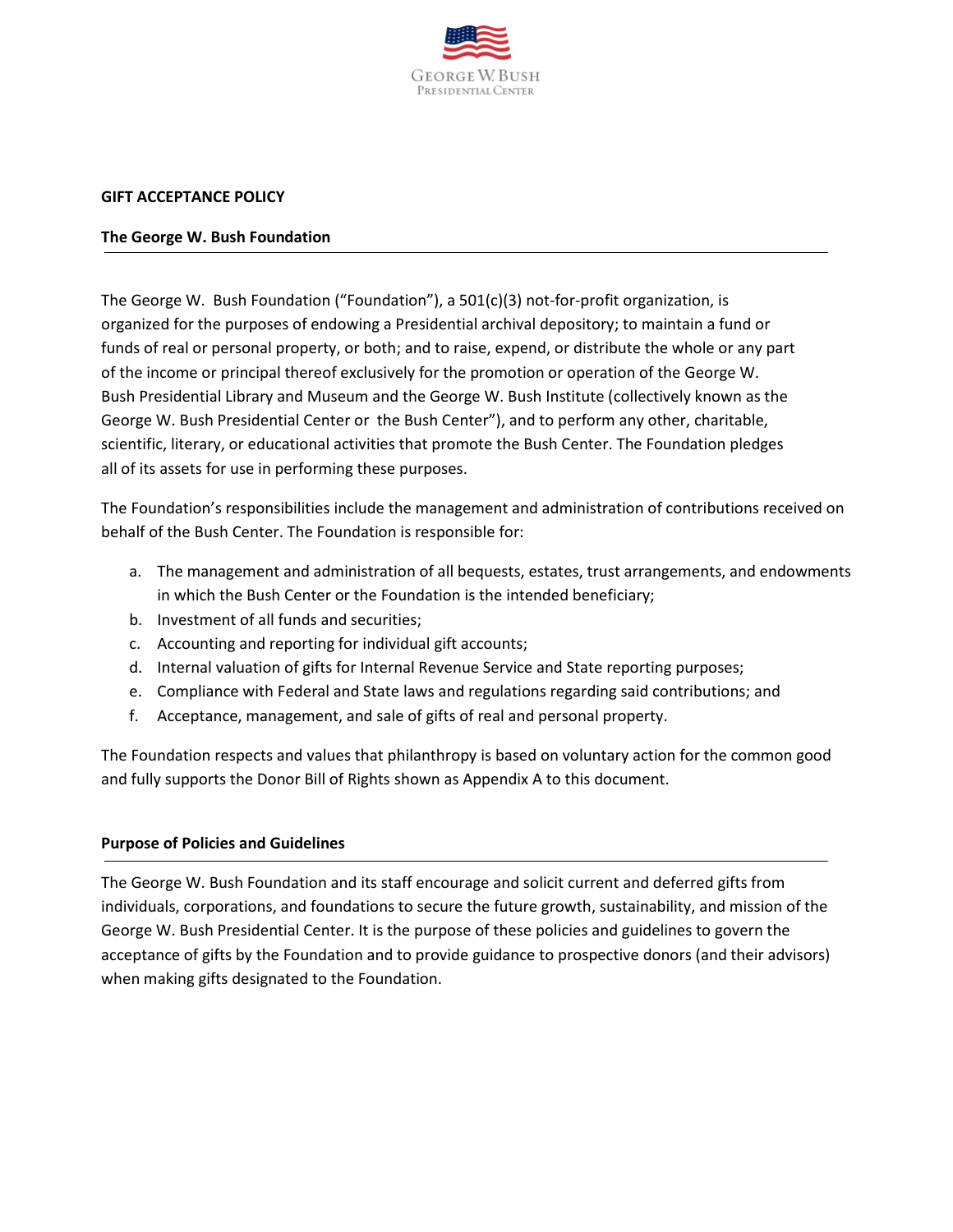

### **GIFT ACCEPTANCE POLICY**

### **The George W. Bush Foundation**

The George W. Bush Foundation ("Foundation"), a 501(c)(3) not-for-profit organization, is organized for the purposes of endowing a Presidential archival depository; to maintain a fund or funds of real or personal property, or both; and to raise, expend, or distribute the whole or any part of the income or principal thereof exclusively for the promotion or operation of the George W. Bush Presidential Library and Museum and the George W. Bush Institute (collectively known as the George W. Bush Presidential Center or the Bush Center"), and to perform any other, charitable, scientific, literary, or educational activities that promote the Bush Center. The Foundation pledges all of its assets for use in performing these purposes.

The Foundation's responsibilities include the management and administration of contributions received on behalf of the Bush Center. The Foundation is responsible for:

- a. The management and administration of all bequests, estates, trust arrangements, and endowments in which the Bush Center or the Foundation is the intended beneficiary;
- b. Investment of all funds and securities;
- c. Accounting and reporting for individual gift accounts;
- d. Internal valuation of gifts for Internal Revenue Service and State reporting purposes;
- e. Compliance with Federal and State laws and regulations regarding said contributions; and
- f. Acceptance, management, and sale of gifts of real and personal property.

The Foundation respects and values that philanthropy is based on voluntary action for the common good and fully supports the Donor Bill of Rights shown as Appendix A to this document.

## **Purpose of Policies and Guidelines**

The George W. Bush Foundation and its staff encourage and solicit current and deferred gifts from individuals, corporations, and foundations to secure the future growth, sustainability, and mission of the George W. Bush Presidential Center. It is the purpose of these policies and guidelines to govern the acceptance of gifts by the Foundation and to provide guidance to prospective donors (and their advisors) when making gifts designated to the Foundation.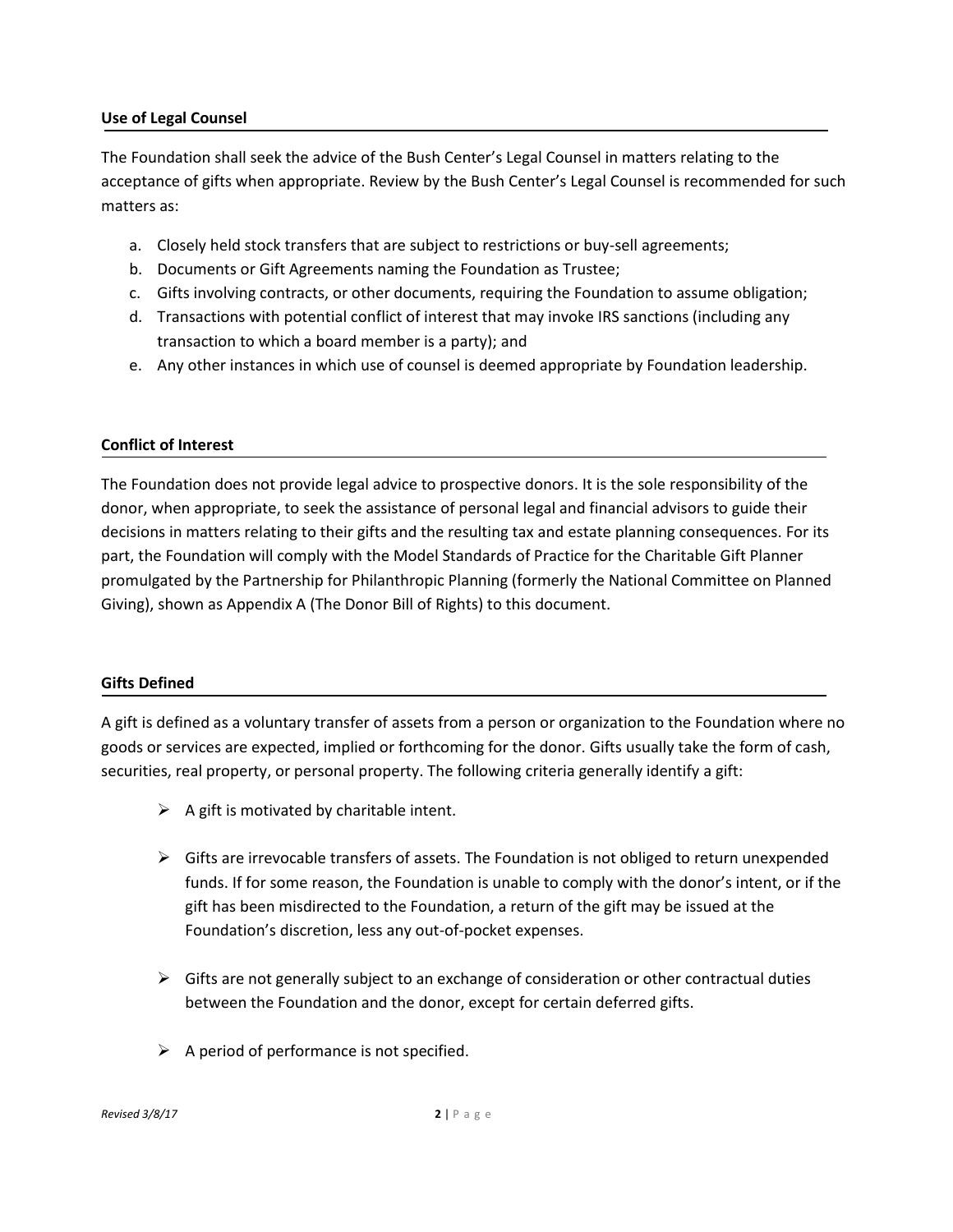### **Use of Legal Counsel**

The Foundation shall seek the advice of the Bush Center's Legal Counsel in matters relating to the acceptance of gifts when appropriate. Review by the Bush Center's Legal Counsel is recommended for such matters as:

- a. Closely held stock transfers that are subject to restrictions or buy-sell agreements;
- b. Documents or Gift Agreements naming the Foundation as Trustee;
- c. Gifts involving contracts, or other documents, requiring the Foundation to assume obligation;
- d. Transactions with potential conflict of interest that may invoke IRS sanctions (including any transaction to which a board member is a party); and
- e. Any other instances in which use of counsel is deemed appropriate by Foundation leadership.

### **Conflict of Interest**

The Foundation does not provide legal advice to prospective donors. It is the sole responsibility of the donor, when appropriate, to seek the assistance of personal legal and financial advisors to guide their decisions in matters relating to their gifts and the resulting tax and estate planning consequences. For its part, the Foundation will comply with the Model Standards of Practice for the Charitable Gift Planner promulgated by the Partnership for Philanthropic Planning (formerly the National Committee on Planned Giving), shown as Appendix A (The Donor Bill of Rights) to this document.

## **Gifts Defined**

A gift is defined as a voluntary transfer of assets from a person or organization to the Foundation where no goods or services are expected, implied or forthcoming for the donor. Gifts usually take the form of cash, securities, real property, or personal property. The following criteria generally identify a gift:

- $\triangleright$  A gift is motivated by charitable intent.
- $\triangleright$  Gifts are irrevocable transfers of assets. The Foundation is not obliged to return unexpended funds. If for some reason, the Foundation is unable to comply with the donor's intent, or if the gift has been misdirected to the Foundation, a return of the gift may be issued at the Foundation's discretion, less any out-of-pocket expenses.
- $\triangleright$  Gifts are not generally subject to an exchange of consideration or other contractual duties between the Foundation and the donor, except for certain deferred gifts.
- $\triangleright$  A period of performance is not specified.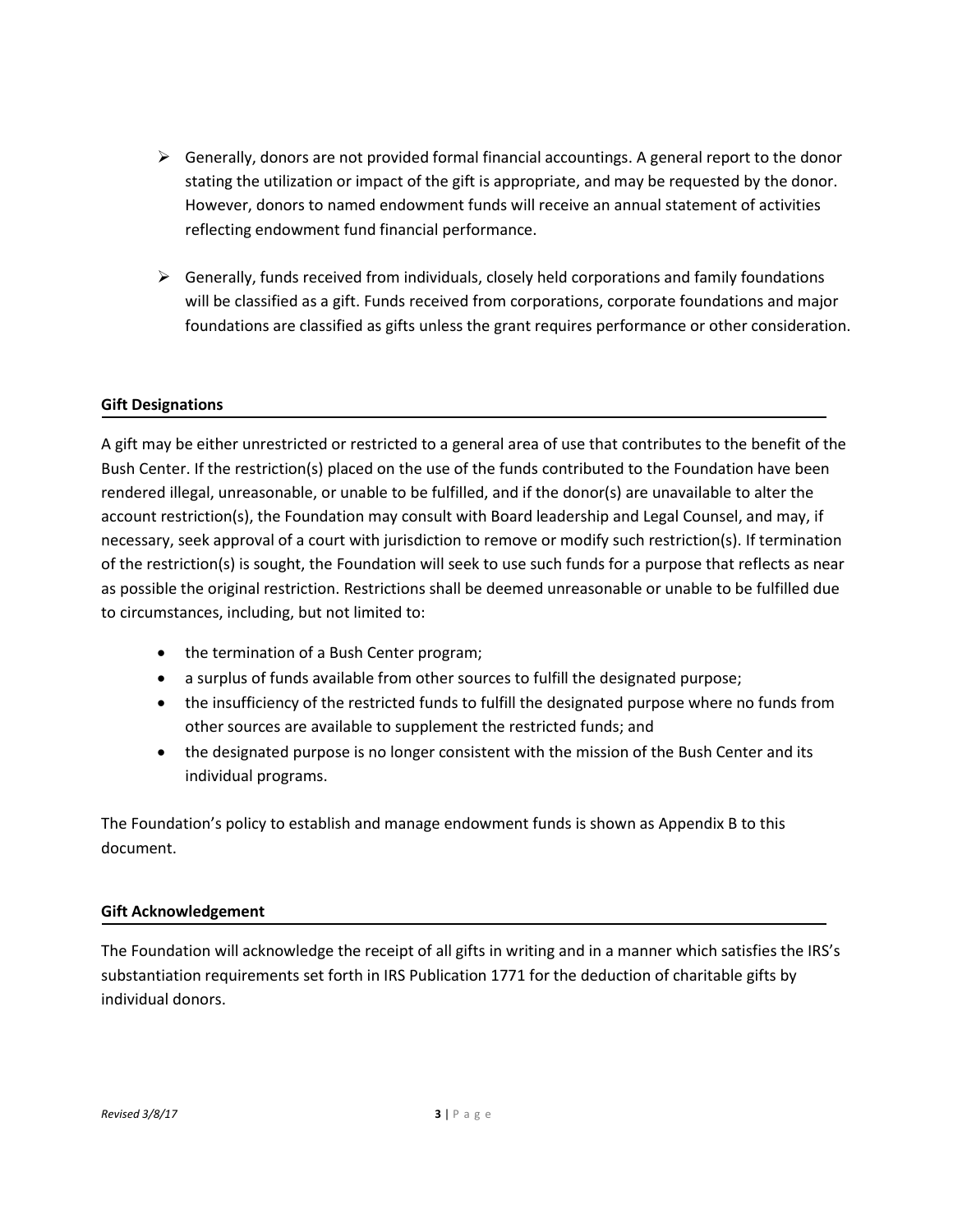- $\triangleright$  Generally, donors are not provided formal financial accountings. A general report to the donor stating the utilization or impact of the gift is appropriate, and may be requested by the donor. However, donors to named endowment funds will receive an annual statement of activities reflecting endowment fund financial performance.
- $\triangleright$  Generally, funds received from individuals, closely held corporations and family foundations will be classified as a gift. Funds received from corporations, corporate foundations and major foundations are classified as gifts unless the grant requires performance or other consideration.

## **Gift Designations**

A gift may be either unrestricted or restricted to a general area of use that contributes to the benefit of the Bush Center. If the restriction(s) placed on the use of the funds contributed to the Foundation have been rendered illegal, unreasonable, or unable to be fulfilled, and if the donor(s) are unavailable to alter the account restriction(s), the Foundation may consult with Board leadership and Legal Counsel, and may, if necessary, seek approval of a court with jurisdiction to remove or modify such restriction(s). If termination of the restriction(s) is sought, the Foundation will seek to use such funds for a purpose that reflects as near as possible the original restriction. Restrictions shall be deemed unreasonable or unable to be fulfilled due to circumstances, including, but not limited to:

- the termination of a Bush Center program;
- a surplus of funds available from other sources to fulfill the designated purpose;
- the insufficiency of the restricted funds to fulfill the designated purpose where no funds from other sources are available to supplement the restricted funds; and
- the designated purpose is no longer consistent with the mission of the Bush Center and its individual programs.

The Foundation's policy to establish and manage endowment funds is shown as Appendix B to this document.

## **Gift Acknowledgement**

The Foundation will acknowledge the receipt of all gifts in writing and in a manner which satisfies the IRS's substantiation requirements set forth in IRS Publication 1771 for the deduction of charitable gifts by individual donors.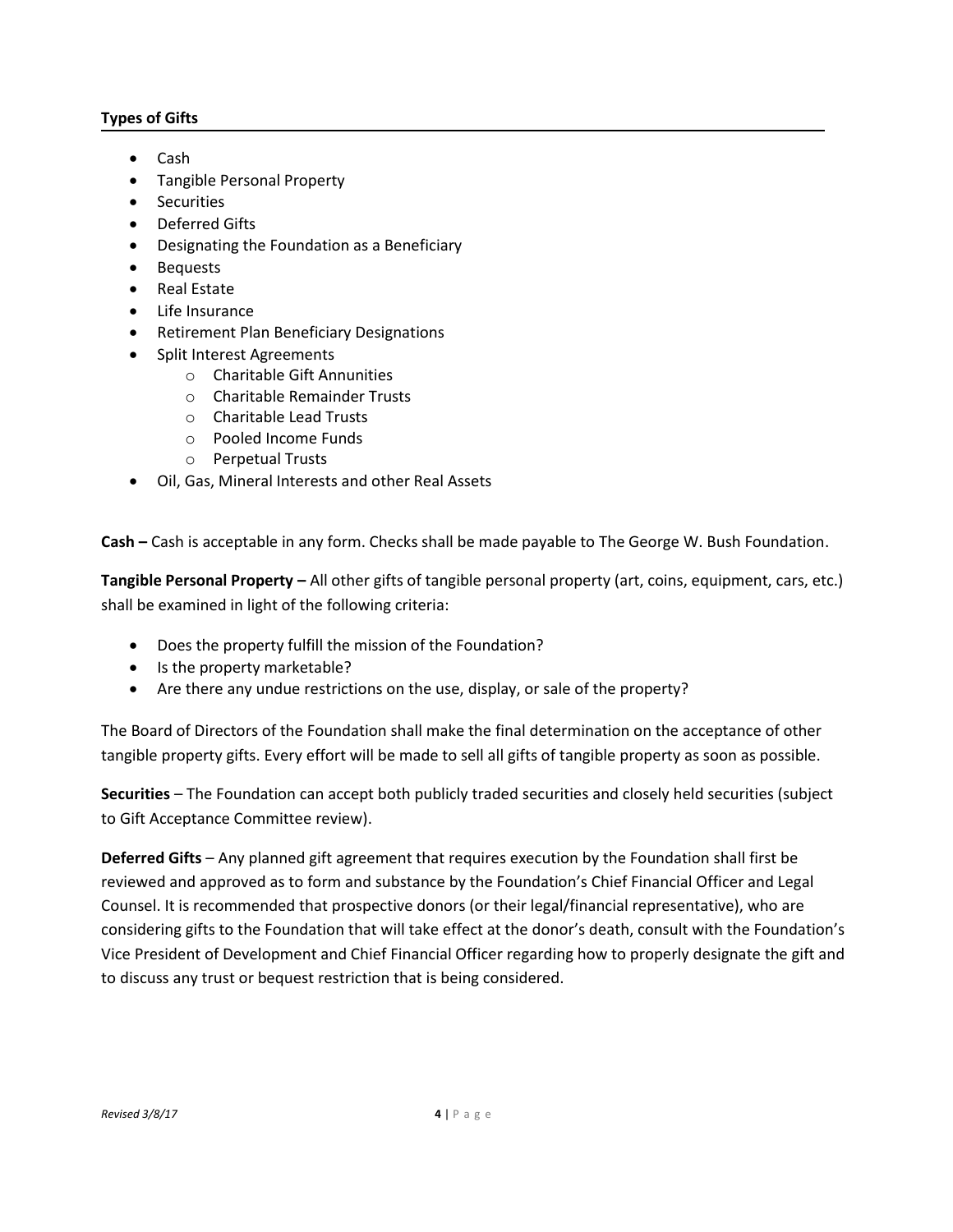## **Types of Gifts**

- Cash
- Tangible Personal Property
- Securities
- Deferred Gifts
- Designating the Foundation as a Beneficiary
- Bequests
- Real Estate
- Life Insurance
- **•** Retirement Plan Beneficiary Designations
- Split Interest Agreements
	- o Charitable Gift Annunities
	- o Charitable Remainder Trusts
	- o Charitable Lead Trusts
	- o Pooled Income Funds
	- o Perpetual Trusts
- Oil, Gas, Mineral Interests and other Real Assets

**Cash –** Cash is acceptable in any form. Checks shall be made payable to The George W. Bush Foundation.

**Tangible Personal Property –** All other gifts of tangible personal property (art, coins, equipment, cars, etc.) shall be examined in light of the following criteria:

- Does the property fulfill the mission of the Foundation?
- Is the property marketable?
- Are there any undue restrictions on the use, display, or sale of the property?

The Board of Directors of the Foundation shall make the final determination on the acceptance of other tangible property gifts. Every effort will be made to sell all gifts of tangible property as soon as possible.

**Securities** – The Foundation can accept both publicly traded securities and closely held securities (subject to Gift Acceptance Committee review).

**Deferred Gifts** – Any planned gift agreement that requires execution by the Foundation shall first be reviewed and approved as to form and substance by the Foundation's Chief Financial Officer and Legal Counsel. It is recommended that prospective donors (or their legal/financial representative), who are considering gifts to the Foundation that will take effect at the donor's death, consult with the Foundation's Vice President of Development and Chief Financial Officer regarding how to properly designate the gift and to discuss any trust or bequest restriction that is being considered.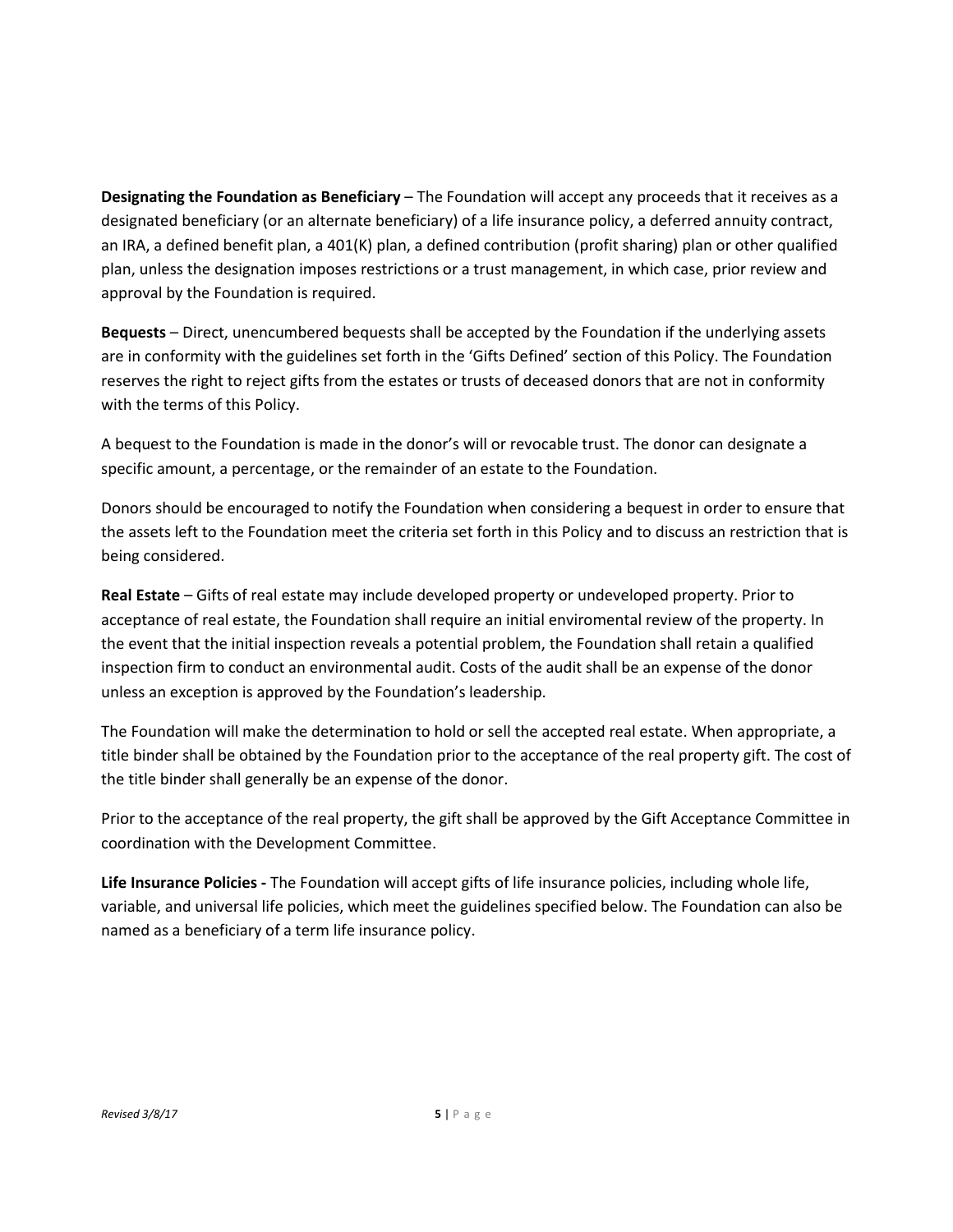**Designating the Foundation as Beneficiary** – The Foundation will accept any proceeds that it receives as a designated beneficiary (or an alternate beneficiary) of a life insurance policy, a deferred annuity contract, an IRA, a defined benefit plan, a 401(K) plan, a defined contribution (profit sharing) plan or other qualified plan, unless the designation imposes restrictions or a trust management, in which case, prior review and approval by the Foundation is required.

**Bequests** – Direct, unencumbered bequests shall be accepted by the Foundation if the underlying assets are in conformity with the guidelines set forth in the 'Gifts Defined' section of this Policy. The Foundation reserves the right to reject gifts from the estates or trusts of deceased donors that are not in conformity with the terms of this Policy.

A bequest to the Foundation is made in the donor's will or revocable trust. The donor can designate a specific amount, a percentage, or the remainder of an estate to the Foundation.

Donors should be encouraged to notify the Foundation when considering a bequest in order to ensure that the assets left to the Foundation meet the criteria set forth in this Policy and to discuss an restriction that is being considered.

**Real Estate** – Gifts of real estate may include developed property or undeveloped property. Prior to acceptance of real estate, the Foundation shall require an initial enviromental review of the property. In the event that the initial inspection reveals a potential problem, the Foundation shall retain a qualified inspection firm to conduct an environmental audit. Costs of the audit shall be an expense of the donor unless an exception is approved by the Foundation's leadership.

The Foundation will make the determination to hold or sell the accepted real estate. When appropriate, a title binder shall be obtained by the Foundation prior to the acceptance of the real property gift. The cost of the title binder shall generally be an expense of the donor.

Prior to the acceptance of the real property, the gift shall be approved by the Gift Acceptance Committee in coordination with the Development Committee.

**Life Insurance Policies -** The Foundation will accept gifts of life insurance policies, including whole life, variable, and universal life policies, which meet the guidelines specified below. The Foundation can also be named as a beneficiary of a term life insurance policy.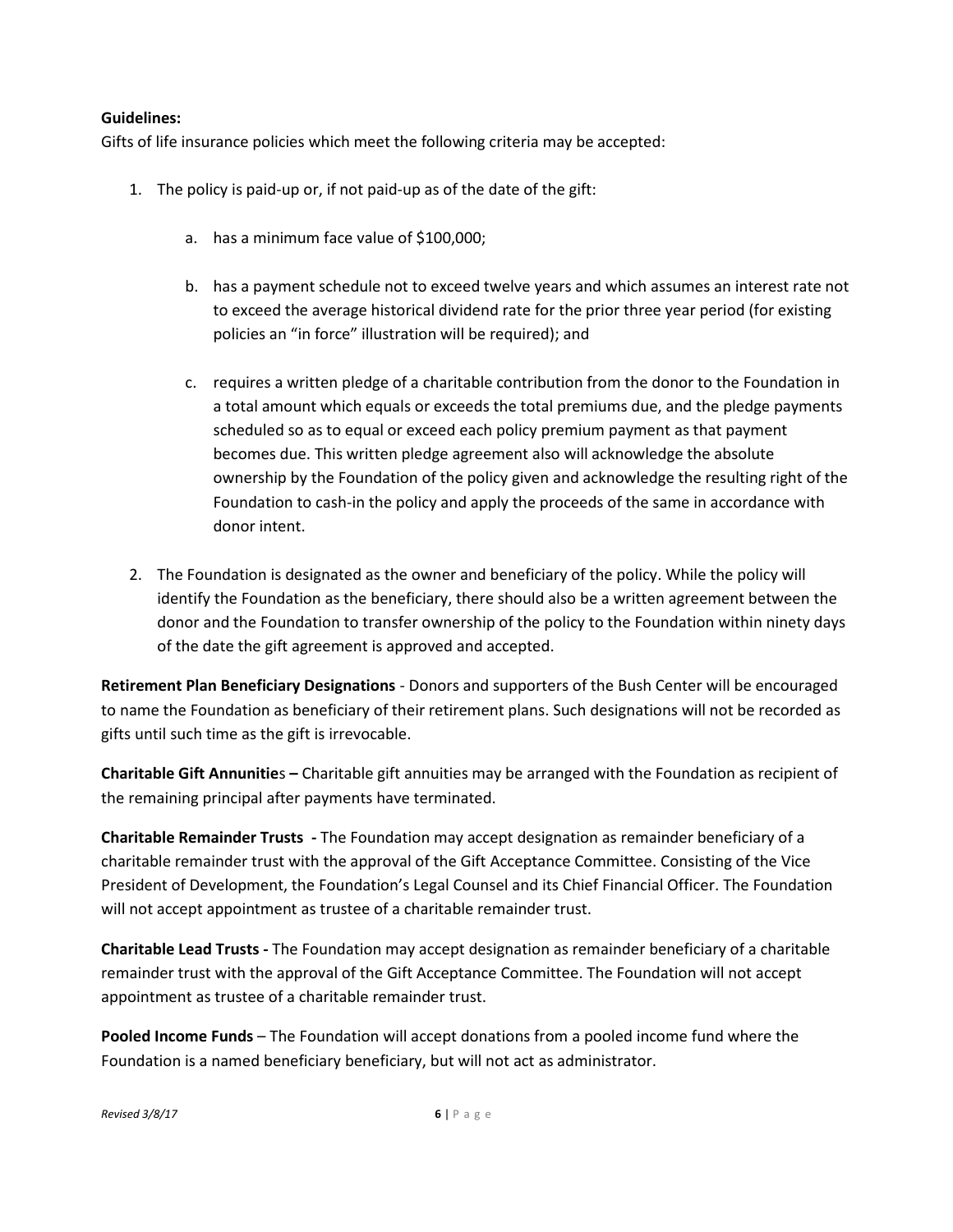## **Guidelines:**

Gifts of life insurance policies which meet the following criteria may be accepted:

- 1. The policy is paid-up or, if not paid-up as of the date of the gift:
	- a. has a minimum face value of \$100,000;
	- b. has a payment schedule not to exceed twelve years and which assumes an interest rate not to exceed the average historical dividend rate for the prior three year period (for existing policies an "in force" illustration will be required); and
	- c. requires a written pledge of a charitable contribution from the donor to the Foundation in a total amount which equals or exceeds the total premiums due, and the pledge payments scheduled so as to equal or exceed each policy premium payment as that payment becomes due. This written pledge agreement also will acknowledge the absolute ownership by the Foundation of the policy given and acknowledge the resulting right of the Foundation to cash-in the policy and apply the proceeds of the same in accordance with donor intent.
- 2. The Foundation is designated as the owner and beneficiary of the policy. While the policy will identify the Foundation as the beneficiary, there should also be a written agreement between the donor and the Foundation to transfer ownership of the policy to the Foundation within ninety days of the date the gift agreement is approved and accepted.

**Retirement Plan Beneficiary Designations** - Donors and supporters of the Bush Center will be encouraged to name the Foundation as beneficiary of their retirement plans. Such designations will not be recorded as gifts until such time as the gift is irrevocable.

**Charitable Gift Annunitie**s **–** Charitable gift annuities may be arranged with the Foundation as recipient of the remaining principal after payments have terminated.

**Charitable Remainder Trusts -** The Foundation may accept designation as remainder beneficiary of a charitable remainder trust with the approval of the Gift Acceptance Committee. Consisting of the Vice President of Development, the Foundation's Legal Counsel and its Chief Financial Officer. The Foundation will not accept appointment as trustee of a charitable remainder trust.

**Charitable Lead Trusts -** The Foundation may accept designation as remainder beneficiary of a charitable remainder trust with the approval of the Gift Acceptance Committee. The Foundation will not accept appointment as trustee of a charitable remainder trust.

**Pooled Income Funds** – The Foundation will accept donations from a pooled income fund where the Foundation is a named beneficiary beneficiary, but will not act as administrator.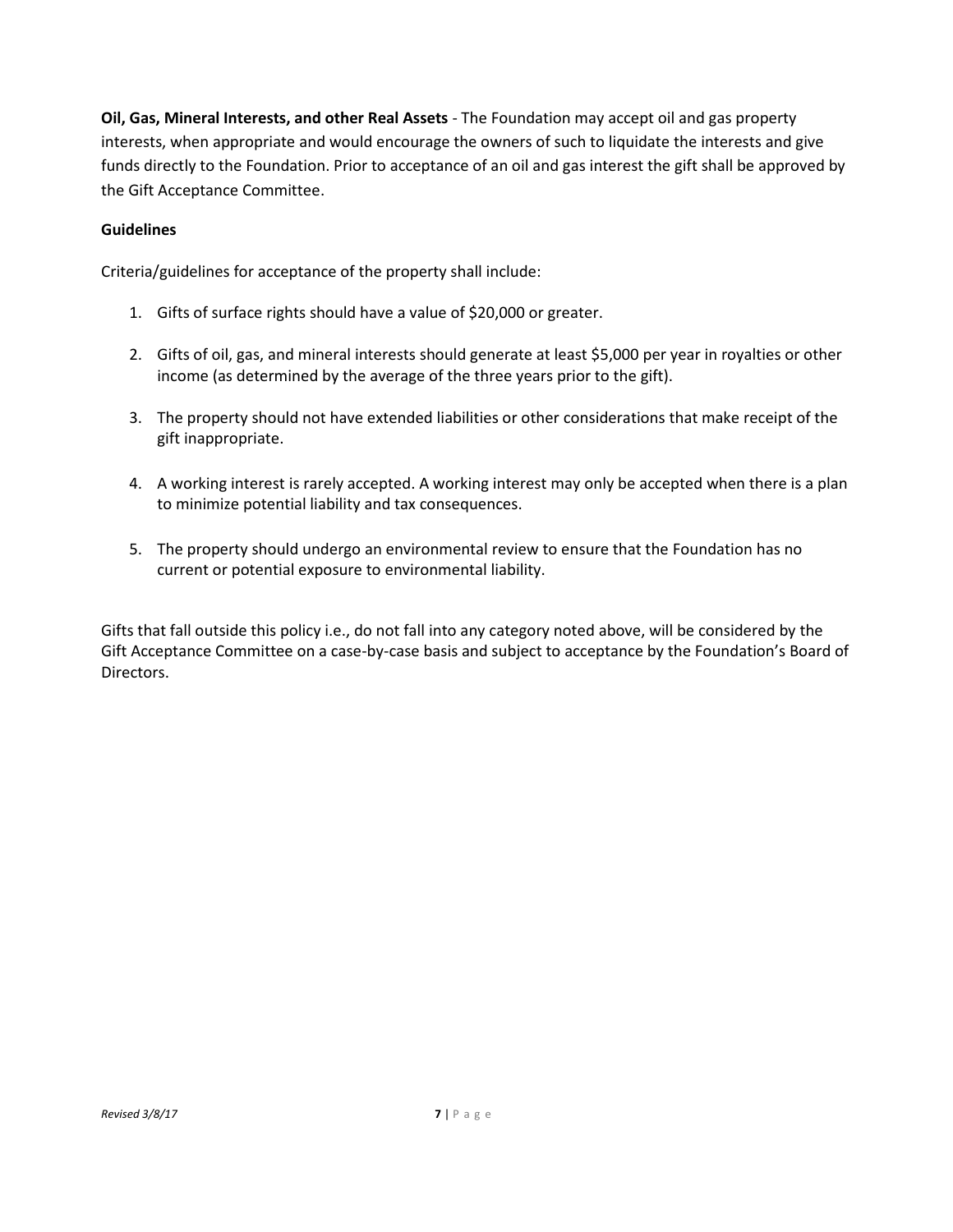**Oil, Gas, Mineral Interests, and other Real Assets** - The Foundation may accept oil and gas property interests, when appropriate and would encourage the owners of such to liquidate the interests and give funds directly to the Foundation. Prior to acceptance of an oil and gas interest the gift shall be approved by the Gift Acceptance Committee.

## **Guidelines**

Criteria/guidelines for acceptance of the property shall include:

- 1. Gifts of surface rights should have a value of \$20,000 or greater.
- 2. Gifts of oil, gas, and mineral interests should generate at least \$5,000 per year in royalties or other income (as determined by the average of the three years prior to the gift).
- 3. The property should not have extended liabilities or other considerations that make receipt of the gift inappropriate.
- 4. A working interest is rarely accepted. A working interest may only be accepted when there is a plan to minimize potential liability and tax consequences.
- 5. The property should undergo an environmental review to ensure that the Foundation has no current or potential exposure to environmental liability.

Gifts that fall outside this policy i.e., do not fall into any category noted above, will be considered by the Gift Acceptance Committee on a case-by-case basis and subject to acceptance by the Foundation's Board of Directors.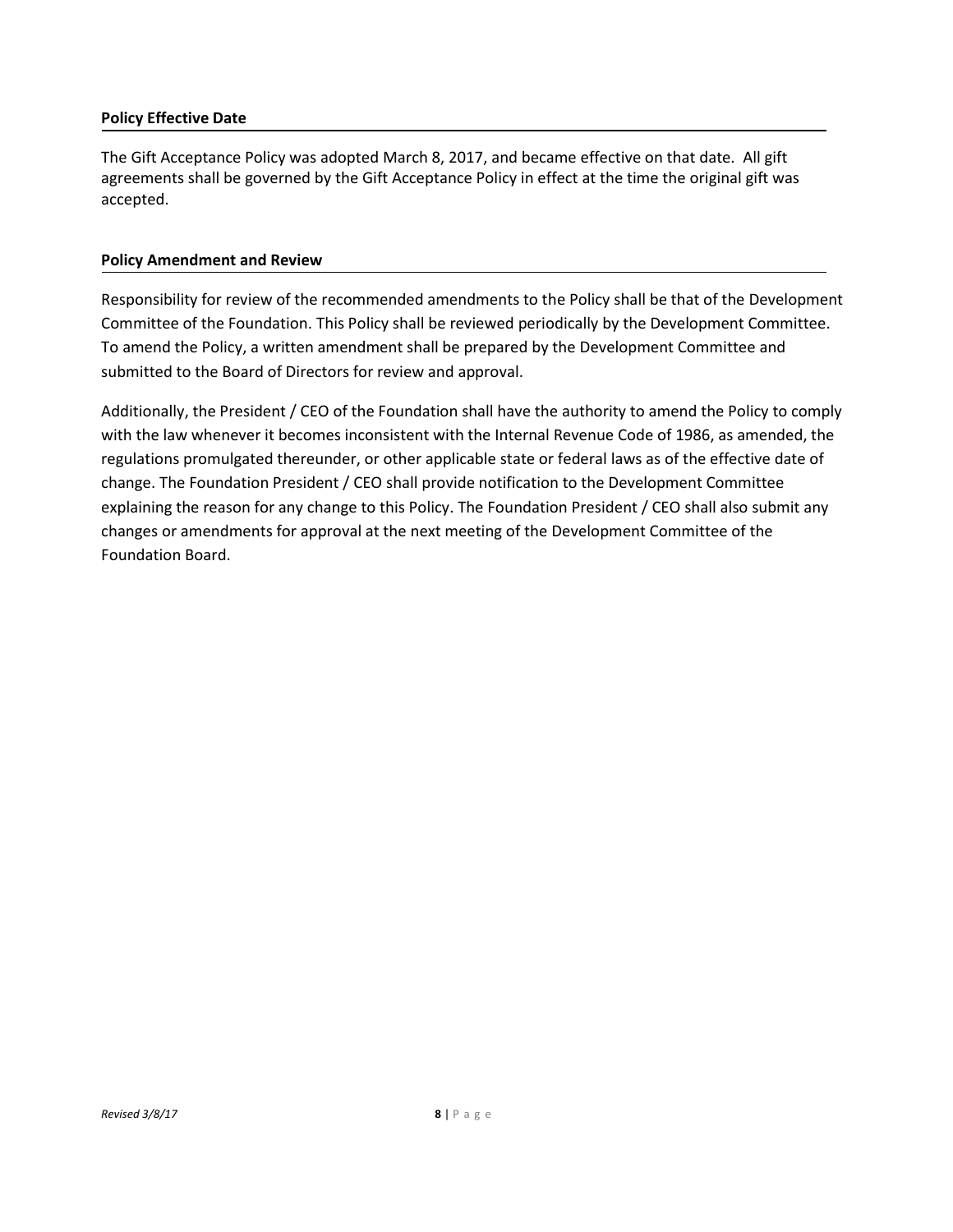### **Policy Effective Date**

The Gift Acceptance Policy was adopted March 8, 2017, and became effective on that date. All gift agreements shall be governed by the Gift Acceptance Policy in effect at the time the original gift was accepted.

#### **Policy Amendment and Review**

Responsibility for review of the recommended amendments to the Policy shall be that of the Development Committee of the Foundation. This Policy shall be reviewed periodically by the Development Committee. To amend the Policy, a written amendment shall be prepared by the Development Committee and submitted to the Board of Directors for review and approval.

Additionally, the President / CEO of the Foundation shall have the authority to amend the Policy to comply with the law whenever it becomes inconsistent with the Internal Revenue Code of 1986, as amended, the regulations promulgated thereunder, or other applicable state or federal laws as of the effective date of change. The Foundation President / CEO shall provide notification to the Development Committee explaining the reason for any change to this Policy. The Foundation President / CEO shall also submit any changes or amendments for approval at the next meeting of the Development Committee of the Foundation Board.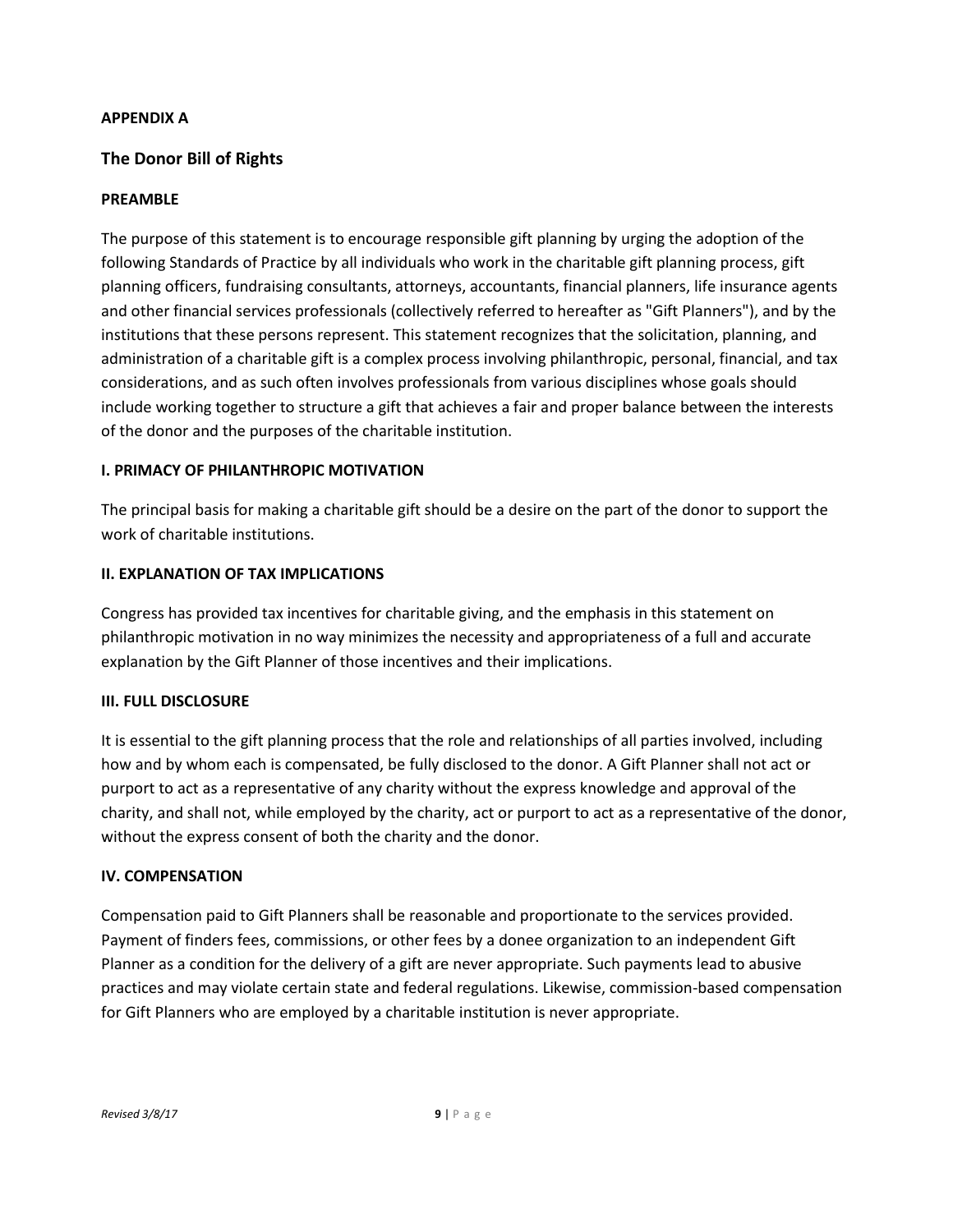## **APPENDIX A**

# **The Donor Bill of Rights**

## **PREAMBLE**

The purpose of this statement is to encourage responsible gift planning by urging the adoption of the following Standards of Practice by all individuals who work in the charitable gift planning process, gift planning officers, fundraising consultants, attorneys, accountants, financial planners, life insurance agents and other financial services professionals (collectively referred to hereafter as "Gift Planners"), and by the institutions that these persons represent. This statement recognizes that the solicitation, planning, and administration of a charitable gift is a complex process involving philanthropic, personal, financial, and tax considerations, and as such often involves professionals from various disciplines whose goals should include working together to structure a gift that achieves a fair and proper balance between the interests of the donor and the purposes of the charitable institution.

## **I. PRIMACY OF PHILANTHROPIC MOTIVATION**

The principal basis for making a charitable gift should be a desire on the part of the donor to support the work of charitable institutions.

## **II. EXPLANATION OF TAX IMPLICATIONS**

Congress has provided tax incentives for charitable giving, and the emphasis in this statement on philanthropic motivation in no way minimizes the necessity and appropriateness of a full and accurate explanation by the Gift Planner of those incentives and their implications.

## **III. FULL DISCLOSURE**

It is essential to the gift planning process that the role and relationships of all parties involved, including how and by whom each is compensated, be fully disclosed to the donor. A Gift Planner shall not act or purport to act as a representative of any charity without the express knowledge and approval of the charity, and shall not, while employed by the charity, act or purport to act as a representative of the donor, without the express consent of both the charity and the donor.

## **IV. COMPENSATION**

Compensation paid to Gift Planners shall be reasonable and proportionate to the services provided. Payment of finders fees, commissions, or other fees by a donee organization to an independent Gift Planner as a condition for the delivery of a gift are never appropriate. Such payments lead to abusive practices and may violate certain state and federal regulations. Likewise, commission-based compensation for Gift Planners who are employed by a charitable institution is never appropriate.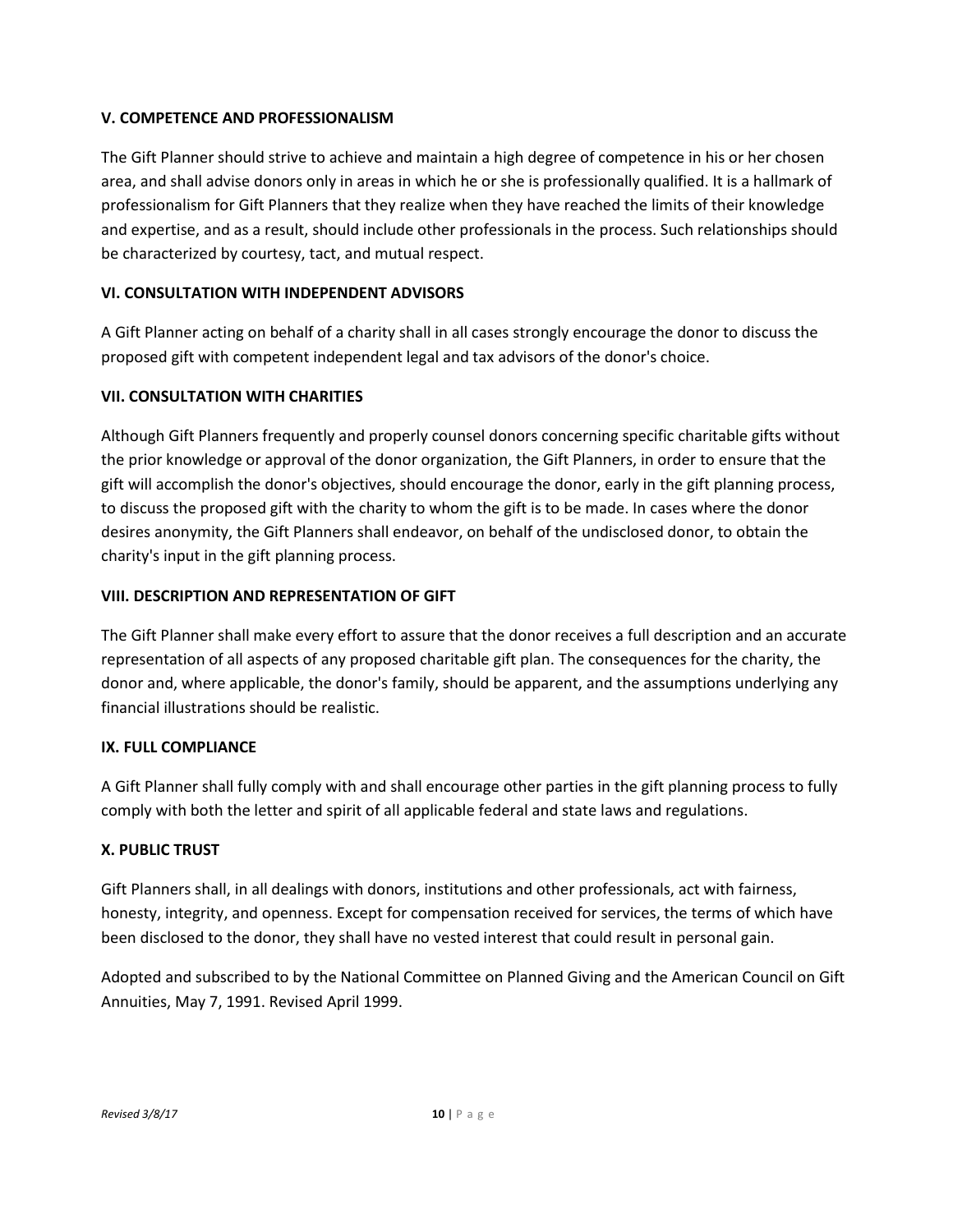## **V. COMPETENCE AND PROFESSIONALISM**

The Gift Planner should strive to achieve and maintain a high degree of competence in his or her chosen area, and shall advise donors only in areas in which he or she is professionally qualified. It is a hallmark of professionalism for Gift Planners that they realize when they have reached the limits of their knowledge and expertise, and as a result, should include other professionals in the process. Such relationships should be characterized by courtesy, tact, and mutual respect.

## **VI. CONSULTATION WITH INDEPENDENT ADVISORS**

A Gift Planner acting on behalf of a charity shall in all cases strongly encourage the donor to discuss the proposed gift with competent independent legal and tax advisors of the donor's choice.

## **VII. CONSULTATION WITH CHARITIES**

Although Gift Planners frequently and properly counsel donors concerning specific charitable gifts without the prior knowledge or approval of the donor organization, the Gift Planners, in order to ensure that the gift will accomplish the donor's objectives, should encourage the donor, early in the gift planning process, to discuss the proposed gift with the charity to whom the gift is to be made. In cases where the donor desires anonymity, the Gift Planners shall endeavor, on behalf of the undisclosed donor, to obtain the charity's input in the gift planning process.

## **VIII. DESCRIPTION AND REPRESENTATION OF GIFT**

The Gift Planner shall make every effort to assure that the donor receives a full description and an accurate representation of all aspects of any proposed charitable gift plan. The consequences for the charity, the donor and, where applicable, the donor's family, should be apparent, and the assumptions underlying any financial illustrations should be realistic.

## **IX. FULL COMPLIANCE**

A Gift Planner shall fully comply with and shall encourage other parties in the gift planning process to fully comply with both the letter and spirit of all applicable federal and state laws and regulations.

# **X. PUBLIC TRUST**

Gift Planners shall, in all dealings with donors, institutions and other professionals, act with fairness, honesty, integrity, and openness. Except for compensation received for services, the terms of which have been disclosed to the donor, they shall have no vested interest that could result in personal gain.

Adopted and subscribed to by the National Committee on Planned Giving and the American Council on Gift Annuities, May 7, 1991. Revised April 1999.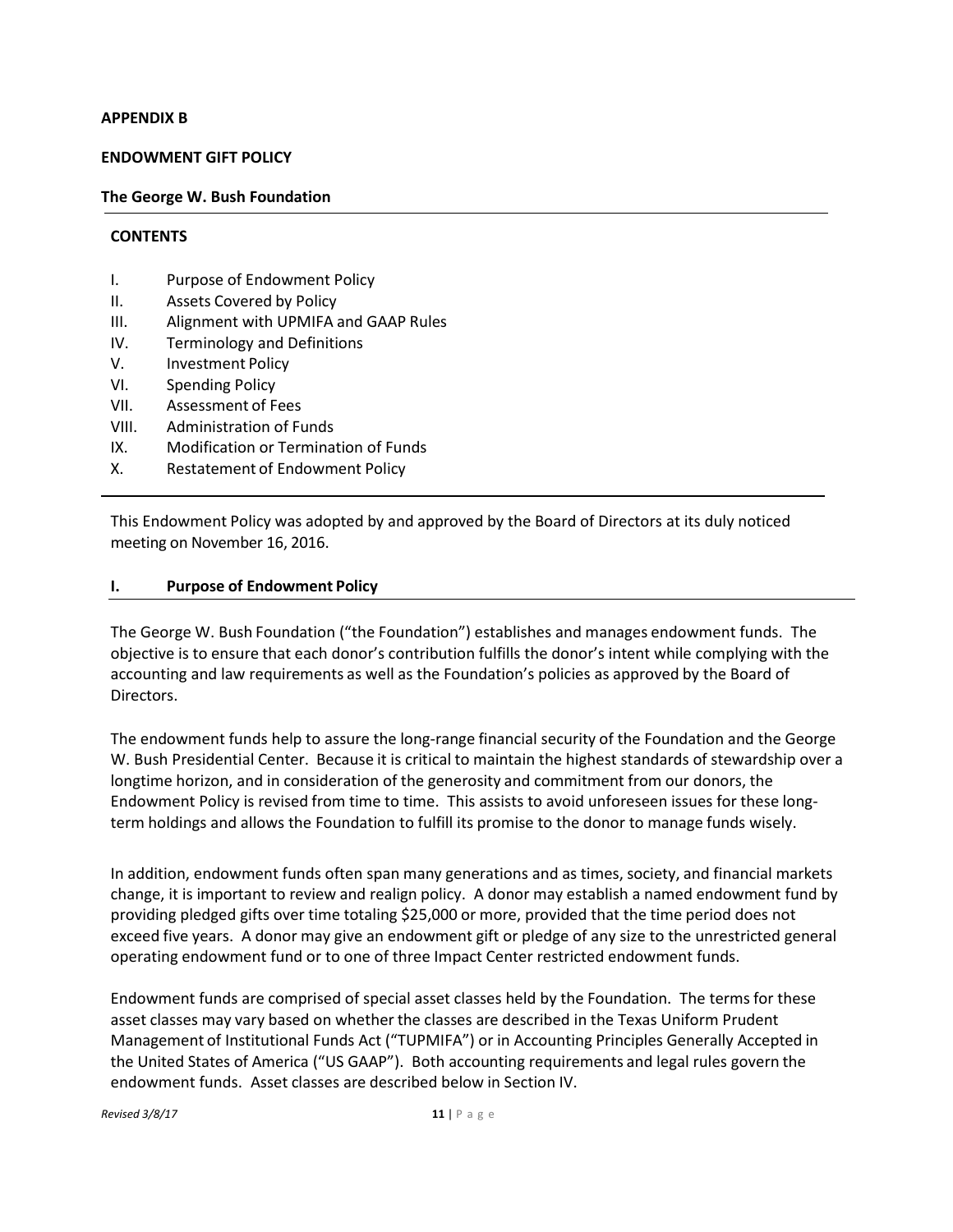#### **APPENDIX B**

#### **ENDOWMENT GIFT POLICY**

#### **The George W. Bush Foundation**

#### **CONTENTS**

- I. Purpose of Endowment Policy
- II. Assets Covered by Policy
- III. Alignment with UPMIFA and GAAP Rules
- IV. Terminology and Definitions
- V. Investment Policy
- VI. Spending Policy
- VII. Assessment of Fees
- VIII. Administration of Funds
- IX. Modification or Termination of Funds
- X. Restatement of Endowment Policy

This Endowment Policy was adopted by and approved by the Board of Directors at its duly noticed meeting on November 16, 2016.

#### **I. Purpose of Endowment Policy**

The George W. Bush Foundation ("the Foundation") establishes and manages endowment funds. The objective is to ensure that each donor's contribution fulfills the donor's intent while complying with the accounting and law requirements as well as the Foundation's policies as approved by the Board of Directors.

The endowment funds help to assure the long-range financial security of the Foundation and the George W. Bush Presidential Center. Because it is critical to maintain the highest standards of stewardship over a longtime horizon, and in consideration of the generosity and commitment from our donors, the Endowment Policy is revised from time to time. This assists to avoid unforeseen issues for these long‐ term holdings and allows the Foundation to fulfill its promise to the donor to manage funds wisely.

In addition, endowment funds often span many generations and as times, society, and financial markets change, it is important to review and realign policy. A donor may establish a named endowment fund by providing pledged gifts over time totaling \$25,000 or more, provided that the time period does not exceed five years. A donor may give an endowment gift or pledge of any size to the unrestricted general operating endowment fund or to one of three Impact Center restricted endowment funds.

Endowment funds are comprised of special asset classes held by the Foundation. The terms for these asset classes may vary based on whether the classes are described in the Texas Uniform Prudent Management of Institutional Funds Act ("TUPMIFA") or in Accounting Principles Generally Accepted in the United States of America ("US GAAP"). Both accounting requirements and legal rules govern the endowment funds. Asset classes are described below in Section IV.

*Revised 3/8/17* **11** | P a g e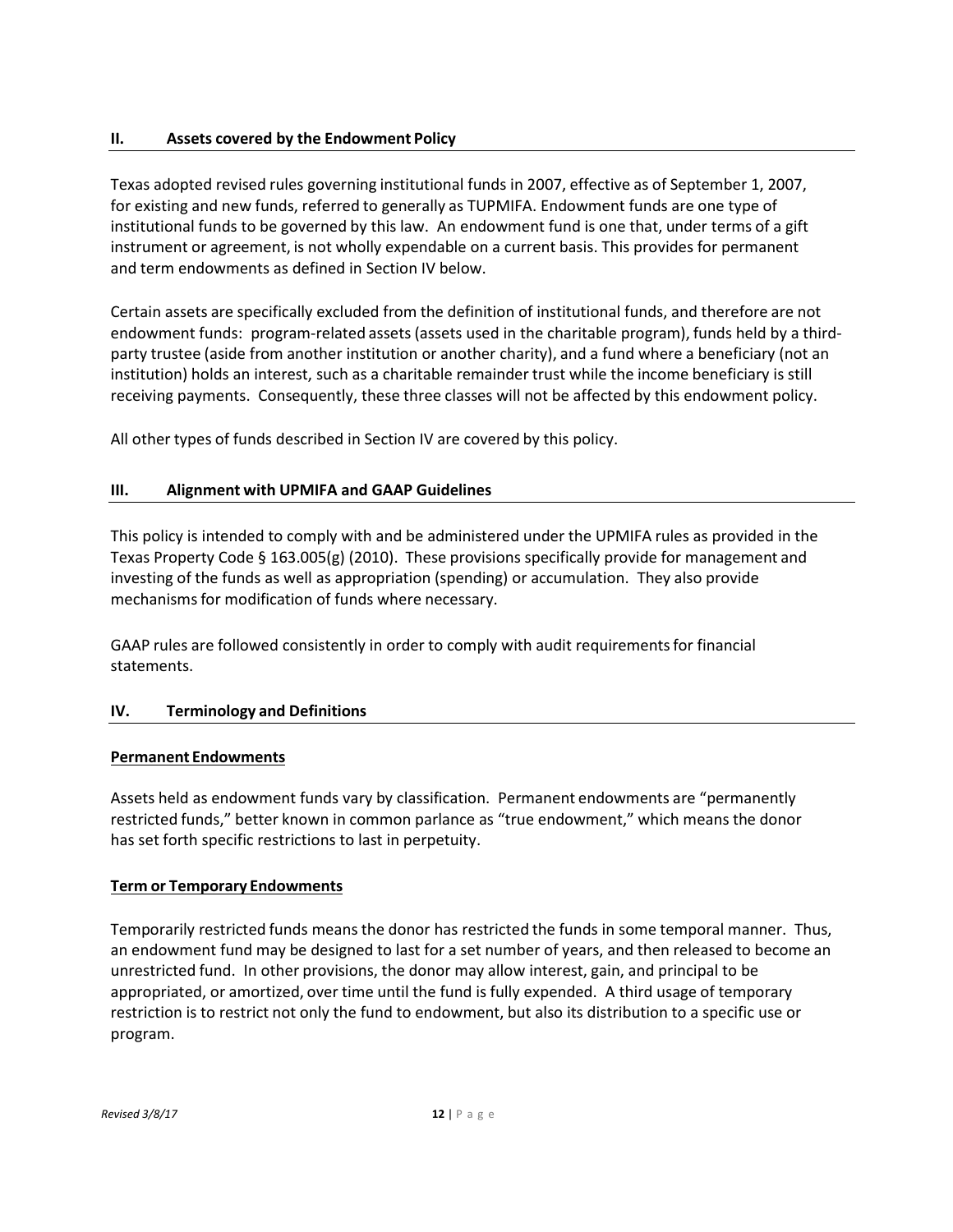## **II. Assets covered by the Endowment Policy**

Texas adopted revised rules governing institutional funds in 2007, effective as of September 1, 2007, for existing and new funds, referred to generally as TUPMIFA. Endowment funds are one type of institutional funds to be governed by this law. An endowment fund is one that, under terms of a gift instrument or agreement, is not wholly expendable on a current basis. This provides for permanent and term endowments as defined in Section IV below.

Certain assets are specifically excluded from the definition of institutional funds, and therefore are not endowment funds: program-related assets (assets used in the charitable program), funds held by a thirdparty trustee (aside from another institution or another charity), and a fund where a beneficiary (not an institution) holds an interest, such as a charitable remainder trust while the income beneficiary is still receiving payments. Consequently, these three classes will not be affected by this endowment policy.

All other types of funds described in Section IV are covered by this policy.

## **III. Alignment with UPMIFA and GAAP Guidelines**

This policy is intended to comply with and be administered under the UPMIFA rules as provided in the Texas Property Code § 163.005(g) (2010). These provisions specifically provide for management and investing of the funds as well as appropriation (spending) or accumulation. They also provide mechanisms for modification of funds where necessary.

GAAP rules are followed consistently in order to comply with audit requirementsfor financial statements.

# **IV. Terminology and Definitions**

## **Permanent Endowments**

Assets held as endowment funds vary by classification. Permanent endowments are "permanently restricted funds," better known in common parlance as "true endowment," which means the donor has set forth specific restrictions to last in perpetuity.

## **Term or Temporary Endowments**

Temporarily restricted funds means the donor has restricted the funds in some temporal manner. Thus, an endowment fund may be designed to last for a set number of years, and then released to become an unrestricted fund. In other provisions, the donor may allow interest, gain, and principal to be appropriated, or amortized, over time until the fund is fully expended. A third usage of temporary restriction is to restrict not only the fund to endowment, but also its distribution to a specific use or program.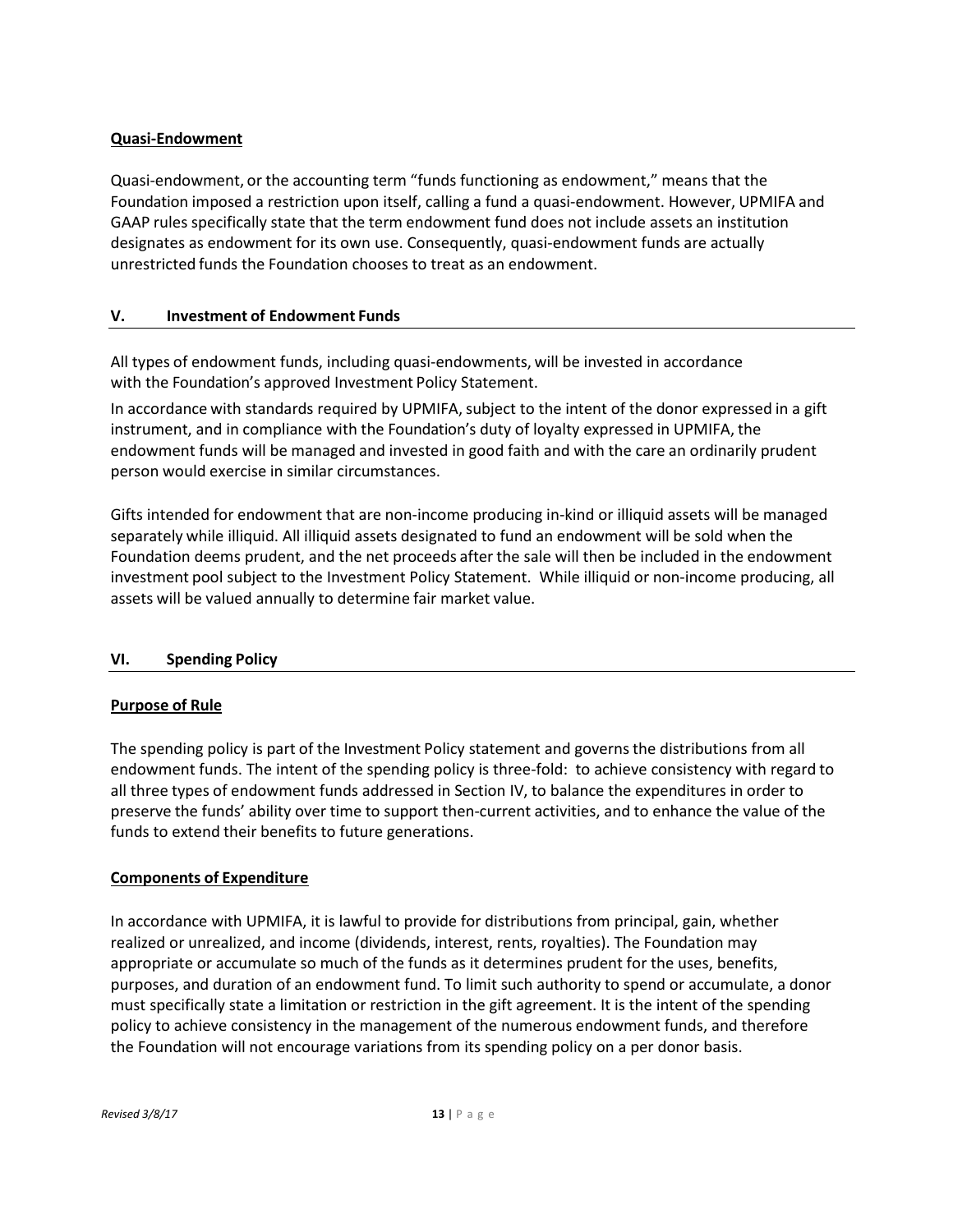## **Quasi‐Endowment**

Quasi‐endowment, or the accounting term "funds functioning as endowment," means that the Foundation imposed a restriction upon itself, calling a fund a quasi‐endowment. However, UPMIFA and GAAP rules specifically state that the term endowment fund does not include assets an institution designates as endowment for its own use. Consequently, quasi‐endowment funds are actually unrestricted funds the Foundation chooses to treat as an endowment.

## **V. Investment of Endowment Funds**

All types of endowment funds, including quasi‐endowments, will be invested in accordance with the Foundation's approved Investment Policy Statement.

In accordance with standards required by UPMIFA, subject to the intent of the donor expressed in a gift instrument, and in compliance with the Foundation's duty of loyalty expressed in UPMIFA, the endowment funds will be managed and invested in good faith and with the care an ordinarily prudent person would exercise in similar circumstances.

Gifts intended for endowment that are non-income producing in-kind or illiquid assets will be managed separately while illiquid. All illiquid assets designated to fund an endowment will be sold when the Foundation deems prudent, and the net proceeds after the sale will then be included in the endowment investment pool subject to the Investment Policy Statement. While illiquid or non-income producing, all assets will be valued annually to determine fair market value.

# **VI. Spending Policy**

## **Purpose of Rule**

The spending policy is part of the Investment Policy statement and governs the distributions from all endowment funds. The intent of the spending policy is three-fold: to achieve consistency with regard to all three types of endowment funds addressed in Section IV, to balance the expenditures in order to preserve the funds' ability over time to support then-current activities, and to enhance the value of the funds to extend their benefits to future generations.

## **Components of Expenditure**

In accordance with UPMIFA, it is lawful to provide for distributions from principal, gain, whether realized or unrealized, and income (dividends, interest, rents, royalties). The Foundation may appropriate or accumulate so much of the funds as it determines prudent for the uses, benefits, purposes, and duration of an endowment fund. To limit such authority to spend or accumulate, a donor must specifically state a limitation or restriction in the gift agreement. It is the intent of the spending policy to achieve consistency in the management of the numerous endowment funds, and therefore the Foundation will not encourage variations from its spending policy on a per donor basis.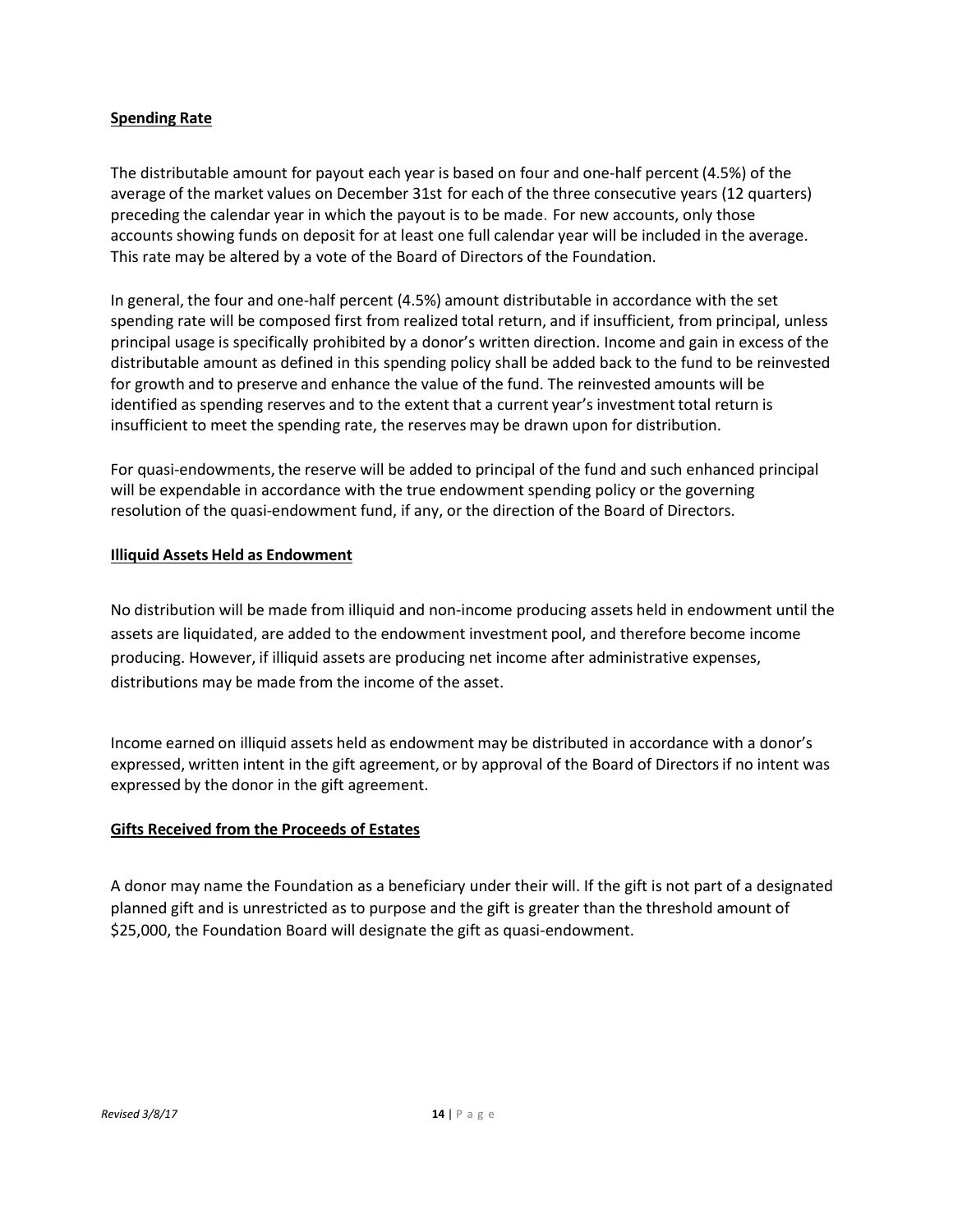## **Spending Rate**

The distributable amount for payout each year is based on four and one-half percent (4.5%) of the average of the market values on December 31st for each of the three consecutive years (12 quarters) preceding the calendar year in which the payout is to be made. For new accounts, only those accounts showing funds on deposit for at least one full calendar year will be included in the average. This rate may be altered by a vote of the Board of Directors of the Foundation.

In general, the four and one-half percent (4.5%) amount distributable in accordance with the set spending rate will be composed first from realized total return, and if insufficient, from principal, unless principal usage is specifically prohibited by a donor's written direction. Income and gain in excess of the distributable amount as defined in this spending policy shall be added back to the fund to be reinvested for growth and to preserve and enhance the value of the fund. The reinvested amounts will be identified as spending reserves and to the extent that a current year's investmenttotal return is insufficient to meet the spending rate, the reserves may be drawn upon for distribution.

For quasi-endowments, the reserve will be added to principal of the fund and such enhanced principal will be expendable in accordance with the true endowment spending policy or the governing resolution of the quasi-endowment fund, if any, or the direction of the Board of Directors.

## **Illiquid Assets Held as Endowment**

No distribution will be made from illiquid and non-income producing assets held in endowment until the assets are liquidated, are added to the endowment investment pool, and therefore become income producing. However, if illiquid assets are producing net income after administrative expenses, distributions may be made from the income of the asset.

Income earned on illiquid assets held as endowment may be distributed in accordance with a donor's expressed, written intent in the gift agreement, or by approval of the Board of Directorsif no intent was expressed by the donor in the gift agreement.

## **Gifts Received from the Proceeds of Estates**

A donor may name the Foundation as a beneficiary under their will. If the gift is not part of a designated planned gift and is unrestricted as to purpose and the gift is greater than the threshold amount of \$25,000, the Foundation Board will designate the gift as quasi-endowment.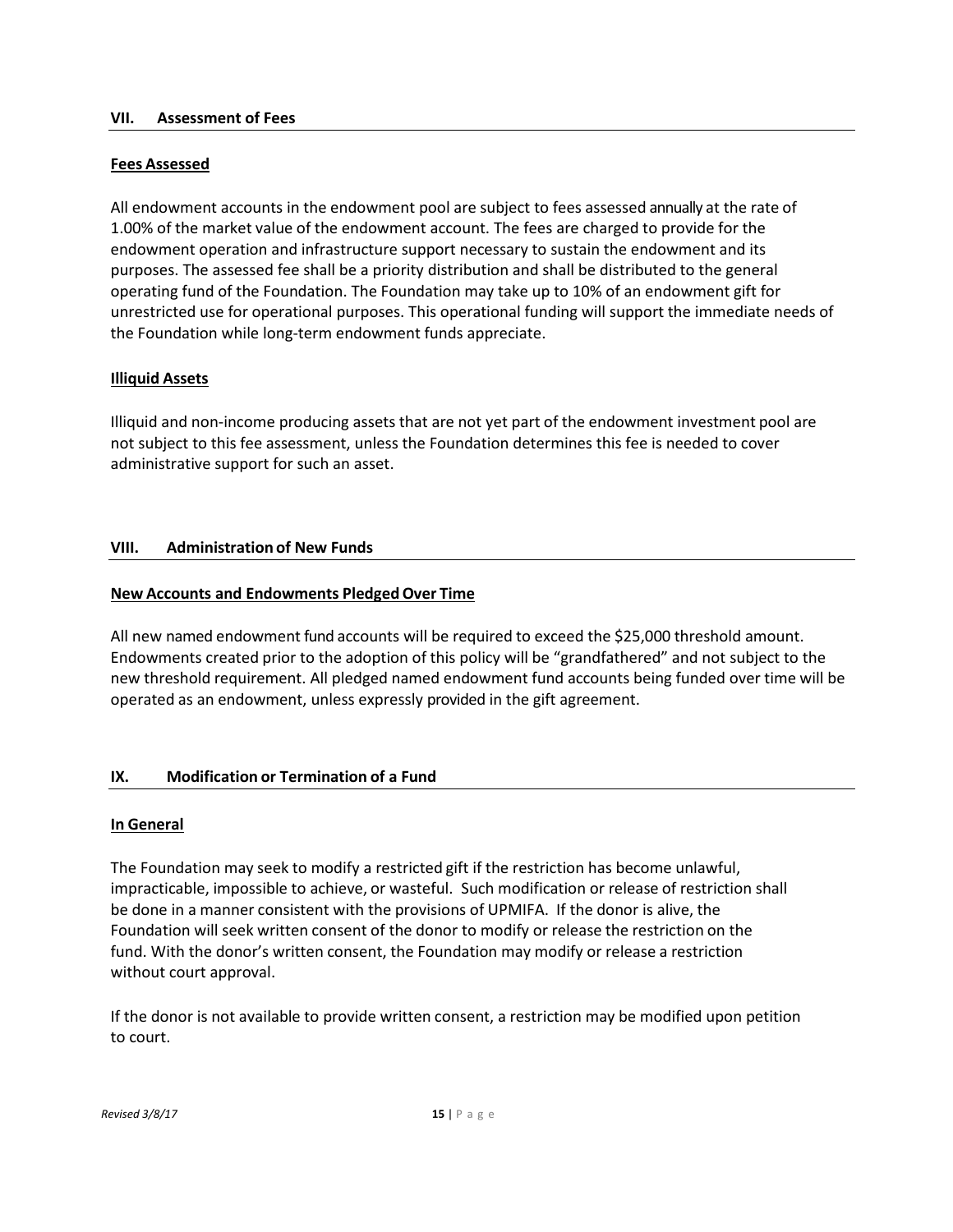#### **VII. Assessment of Fees**

### **Fees Assessed**

All endowment accounts in the endowment pool are subject to fees assessed annually at the rate of 1.00% of the market value of the endowment account. The fees are charged to provide for the endowment operation and infrastructure support necessary to sustain the endowment and its purposes. The assessed fee shall be a priority distribution and shall be distributed to the general operating fund of the Foundation. The Foundation may take up to 10% of an endowment gift for unrestricted use for operational purposes. This operational funding will support the immediate needs of the Foundation while long-term endowment funds appreciate.

## **Illiquid Assets**

Illiquid and non-income producing assets that are not yet part of the endowment investment pool are not subject to this fee assessment, unless the Foundation determines this fee is needed to cover administrative support for such an asset.

## **VIII. Administration of New Funds**

## **New Accounts and Endowments Pledged Over Time**

All new named endowment fund accounts will be required to exceed the \$25,000 threshold amount. Endowments created prior to the adoption of this policy will be "grandfathered" and not subject to the new threshold requirement. All pledged named endowment fund accounts being funded over time will be operated as an endowment, unless expressly provided in the gift agreement.

## **IX. Modification or Termination of a Fund**

#### **In General**

The Foundation may seek to modify a restricted gift if the restriction has become unlawful, impracticable, impossible to achieve, or wasteful. Such modification or release of restriction shall be done in a manner consistent with the provisions of UPMIFA. If the donor is alive, the Foundation will seek written consent of the donor to modify or release the restriction on the fund. With the donor's written consent, the Foundation may modify or release a restriction without court approval.

If the donor is not available to provide written consent, a restriction may be modified upon petition to court.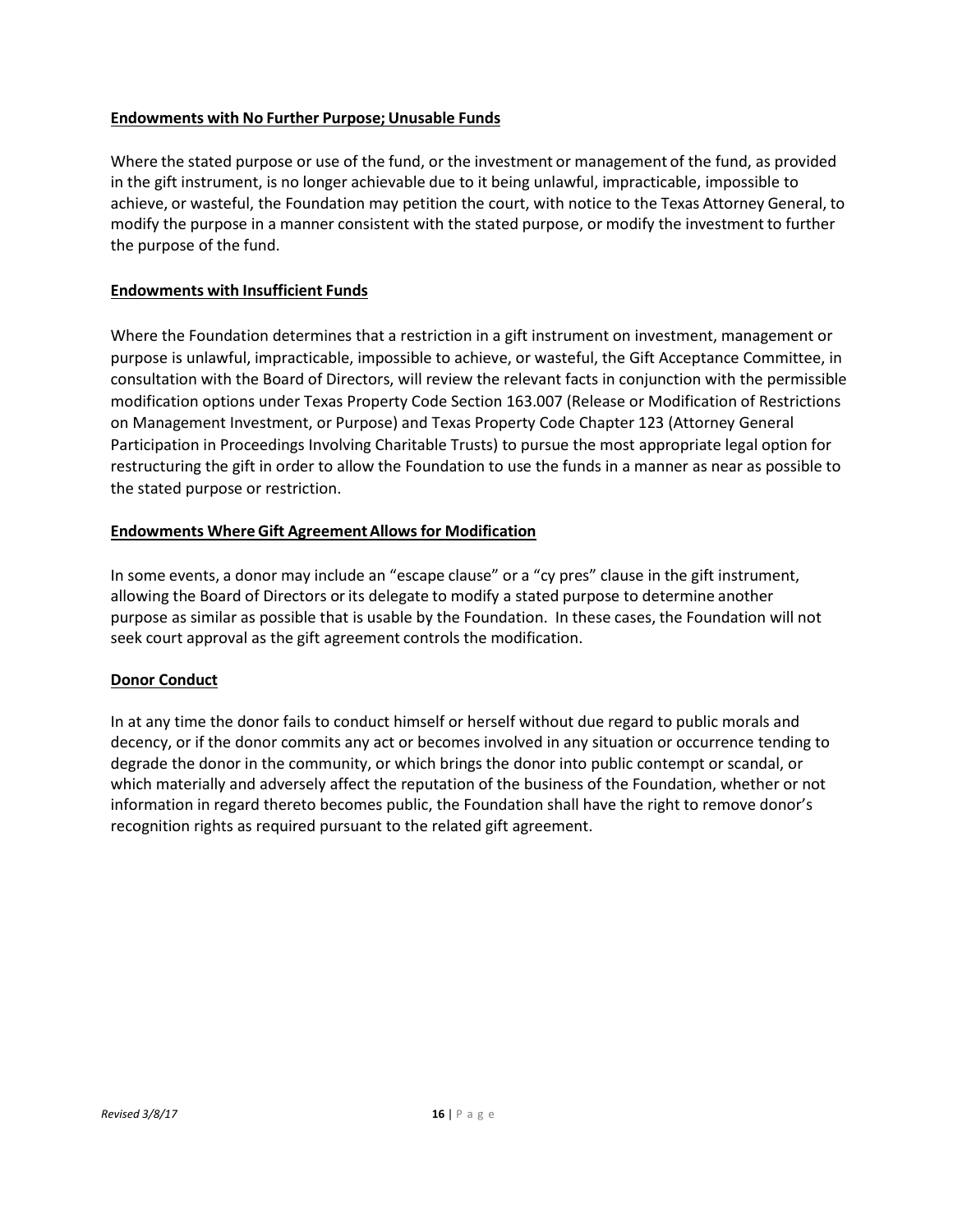## **Endowments with No Further Purpose;Unusable Funds**

Where the stated purpose or use of the fund, or the investment or management of the fund, as provided in the gift instrument, is no longer achievable due to it being unlawful, impracticable, impossible to achieve, or wasteful, the Foundation may petition the court, with notice to the Texas Attorney General, to modify the purpose in a manner consistent with the stated purpose, or modify the investment to further the purpose of the fund.

## **Endowments with Insufficient Funds**

Where the Foundation determines that a restriction in a gift instrument on investment, management or purpose is unlawful, impracticable, impossible to achieve, or wasteful, the Gift Acceptance Committee, in consultation with the Board of Directors, will review the relevant facts in conjunction with the permissible modification options under Texas Property Code Section 163.007 (Release or Modification of Restrictions on Management Investment, or Purpose) and Texas Property Code Chapter 123 (Attorney General Participation in Proceedings Involving Charitable Trusts) to pursue the most appropriate legal option for restructuring the gift in order to allow the Foundation to use the funds in a manner as near as possible to the stated purpose or restriction.

## **Endowments Where Gift AgreementAllowsfor Modification**

In some events, a donor may include an "escape clause" or a "cy pres" clause in the gift instrument, allowing the Board of Directors or its delegate to modify a stated purpose to determine another purpose as similar as possible that is usable by the Foundation. In these cases, the Foundation will not seek court approval as the gift agreement controls the modification.

## **Donor Conduct**

In at any time the donor fails to conduct himself or herself without due regard to public morals and decency, or if the donor commits any act or becomes involved in any situation or occurrence tending to degrade the donor in the community, or which brings the donor into public contempt or scandal, or which materially and adversely affect the reputation of the business of the Foundation, whether or not information in regard thereto becomes public, the Foundation shall have the right to remove donor's recognition rights as required pursuant to the related gift agreement.